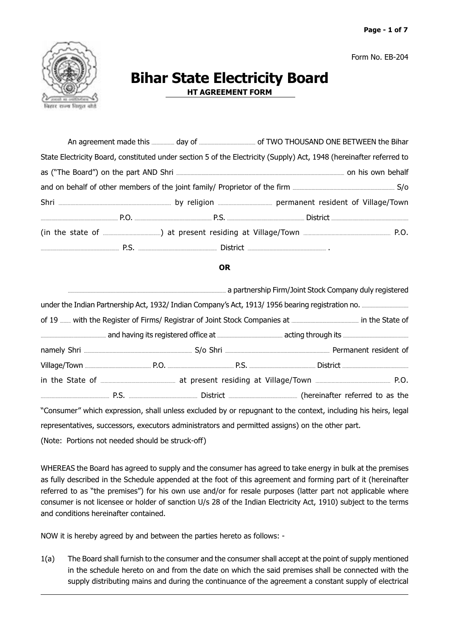Form No. EB-204



## **Bihar State Electricity Board**

**HT AGREEMENT FORM** 

| State Electricity Board, constituted under section 5 of the Electricity (Supply) Act, 1948 (hereinafter referred to |  |  |  |  |
|---------------------------------------------------------------------------------------------------------------------|--|--|--|--|
|                                                                                                                     |  |  |  |  |
|                                                                                                                     |  |  |  |  |
|                                                                                                                     |  |  |  |  |
|                                                                                                                     |  |  |  |  |
|                                                                                                                     |  |  |  |  |
|                                                                                                                     |  |  |  |  |
|                                                                                                                     |  |  |  |  |

## **OR**

|  |  | a partnership Firm/Joint Stock Company duly registered والمستنفسين المستنفسين المستنفسين المستنفسين المستنفسين المستنفسين المستنفسين المستنفسين المستنفسين المستنفسين المستنفسين المستنفسين المستنبي المستنفسين المستنفسين الم |  |
|--|--|--------------------------------------------------------------------------------------------------------------------------------------------------------------------------------------------------------------------------------|--|
|  |  | under the Indian Partnership Act, 1932/ Indian Company's Act, 1913/ 1956 bearing registration no.                                                                                                                              |  |
|  |  |                                                                                                                                                                                                                                |  |
|  |  |                                                                                                                                                                                                                                |  |
|  |  |                                                                                                                                                                                                                                |  |
|  |  |                                                                                                                                                                                                                                |  |
|  |  |                                                                                                                                                                                                                                |  |
|  |  |                                                                                                                                                                                                                                |  |
|  |  | "Consumer" which expression, shall unless excluded by or repugnant to the context, including his heirs, legal                                                                                                                  |  |
|  |  | representatives, successors, executors administrators and permitted assigns) on the other part.                                                                                                                                |  |

(Note: Portions not needed should be struck-off)

WHEREAS the Board has agreed to supply and the consumer has agreed to take energy in bulk at the premises as fully described in the Schedule appended at the foot of this agreement and forming part of it (hereinafter referred to as "the premises") for his own use and/or for resale purposes (latter part not applicable where consumer is not licensee or holder of sanction U/s 28 of the Indian Electricity Act, 1910) subject to the terms and conditions hereinafter contained.

NOW it is hereby agreed by and between the parties hereto as follows: -

 $1(a)$ The Board shall furnish to the consumer and the consumer shall accept at the point of supply mentioned in the schedule hereto on and from the date on which the said premises shall be connected with the supply distributing mains and during the continuance of the agreement a constant supply of electrical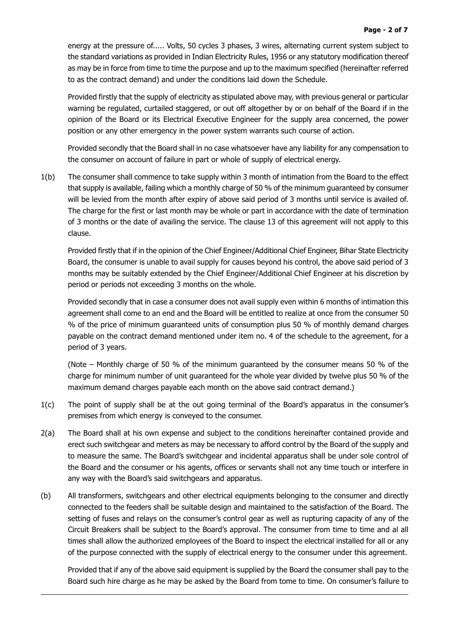energy at the pressure of..... Volts, 50 cycles 3 phases, 3 wires, alternating current system subject to the standard variations as provided in Indian Electricity Rules, 1956 or any statutory modification thereof as may be in force from time to time the purpose and up to the maximum specified (hereinafter referred to as the contract demand) and under the conditions laid down the Schedule.

Provided firstly that the supply of electricity as stipulated above may, with previous general or particular warning be regulated, curtailed staggered, or out off altogether by or on behalf of the Board if in the opinion of the Board or its Electrical Executive Engineer for the supply area concerned, the power position or any other emergency in the power system warrants such course of action.

Provided secondly that the Board shall in no case whatsoever have any liability for any compensation to the consumer on account of failure in part or whole of supply of electrical energy.

 $1(b)$ The consumer shall commence to take supply within 3 month of intimation from the Board to the effect that supply is available, failing which a monthly charge of 50 % of the minimum quaranteed by consumer will be levied from the month after expiry of above said period of 3 months until service is availed of. The charge for the first or last month may be whole or part in accordance with the date of termination of 3 months or the date of availing the service. The clause 13 of this agreement will not apply to this clause.

Provided firstly that if in the opinion of the Chief Engineer/Additional Chief Engineer, Bihar State Electricity Board, the consumer is unable to avail supply for causes bevond his control, the above said period of 3 months may be suitably extended by the Chief Engineer/Additional Chief Engineer at his discretion by period or periods not exceeding 3 months on the whole.

Provided secondly that in case a consumer does not avail supply even within 6 months of intimation this agreement shall come to an end and the Board will be entitled to realize at once from the consumer 50 % of the price of minimum guaranteed units of consumption plus 50 % of monthly demand charges payable on the contract demand mentioned under item no. 4 of the schedule to the agreement, for a period of 3 years.

(Note – Monthly charge of 50 % of the minimum guaranteed by the consumer means 50 % of the charge for minimum number of unit quaranteed for the whole year divided by twelve plus 50 % of the maximum demand charges payable each month on the above said contract demand.)

- $1(c)$ The point of supply shall be at the out going terminal of the Board's apparatus in the consumer's premises from which energy is conveyed to the consumer.
- $2(a)$ The Board shall at his own expense and subject to the conditions hereinafter contained provide and erect such switchgear and meters as may be necessary to afford control by the Board of the supply and to measure the same. The Board's switchgear and incidental apparatus shall be under sole control of the Board and the consumer or his agents, offices or servants shall not any time touch or interfere in any way with the Board's said switchgears and apparatus.
- $(b)$ All transformers, switchgears and other electrical equipments belonging to the consumer and directly connected to the feeders shall be suitable design and maintained to the satisfaction of the Board. The setting of fuses and relays on the consumer's control gear as well as rupturing capacity of any of the Circuit Breakers shall be subject to the Board's approval. The consumer from time to time and al all times shall allow the authorized employees of the Board to inspect the electrical installed for all or any of the purpose connected with the supply of electrical energy to the consumer under this agreement.

Provided that if any of the above said equipment is supplied by the Board the consumer shall pay to the Board such hire charge as he may be asked by the Board from tome to time. On consumer's failure to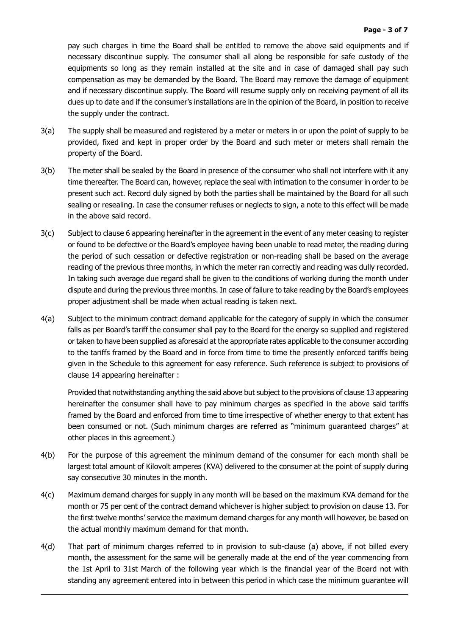pay such charges in time the Board shall be entitled to remove the above said equipments and if necessary discontinue supply. The consumer shall all along be responsible for safe custody of the equipments so long as they remain installed at the site and in case of damaged shall pay such compensation as may be demanded by the Board. The Board may remove the damage of equipment and if necessary discontinue supply. The Board will resume supply only on receiving payment of all its dues up to date and if the consumer's installations are in the opinion of the Board, in position to receive the supply under the contract.

- $3(a)$ The supply shall be measured and registered by a meter or meters in or upon the point of supply to be provided, fixed and kept in proper order by the Board and such meter or meters shall remain the property of the Board.
- $3(b)$ The meter shall be sealed by the Board in presence of the consumer who shall not interfere with it any time thereafter. The Board can, however, replace the seal with intimation to the consumer in order to be present such act. Record duly signed by both the parties shall be maintained by the Board for all such sealing or resealing. In case the consumer refuses or neglects to sign, a note to this effect will be made in the above said record.
- $3(c)$ Subject to clause 6 appearing hereinafter in the agreement in the event of any meter ceasing to register or found to be defective or the Board's employee having been unable to read meter, the reading during the period of such cessation or defective registration or non-reading shall be based on the average reading of the previous three months, in which the meter ran correctly and reading was dully recorded. In taking such average due regard shall be given to the conditions of working during the month under dispute and during the previous three months. In case of failure to take reading by the Board's employees proper adjustment shall be made when actual reading is taken next.
- Subject to the minimum contract demand applicable for the category of supply in which the consumer  $4(a)$ falls as per Board's tariff the consumer shall pay to the Board for the energy so supplied and registered or taken to have been supplied as aforesaid at the appropriate rates applicable to the consumer according to the tariffs framed by the Board and in force from time to time the presently enforced tariffs being given in the Schedule to this agreement for easy reference. Such reference is subject to provisions of clause 14 appearing hereinafter :

Provided that notwithstanding anything the said above but subject to the provisions of clause 13 appearing hereinafter the consumer shall have to pay minimum charges as specified in the above said tariffs framed by the Board and enforced from time to time irrespective of whether energy to that extent has been consumed or not. (Such minimum charges are referred as "minimum guaranteed charges" at other places in this agreement.)

- For the purpose of this agreement the minimum demand of the consumer for each month shall be  $4(b)$ largest total amount of Kilovolt amperes (KVA) delivered to the consumer at the point of supply during say consecutive 30 minutes in the month.
- $4(c)$ Maximum demand charges for supply in any month will be based on the maximum KVA demand for the month or 75 per cent of the contract demand whichever is higher subject to provision on clause 13. For the first twelve months' service the maximum demand charges for any month will however, be based on the actual monthly maximum demand for that month.
- $4(d)$ That part of minimum charges referred to in provision to sub-clause (a) above, if not billed every month, the assessment for the same will be generally made at the end of the year commencing from the 1st April to 31st March of the following year which is the financial year of the Board not with standing any agreement entered into in between this period in which case the minimum guarantee will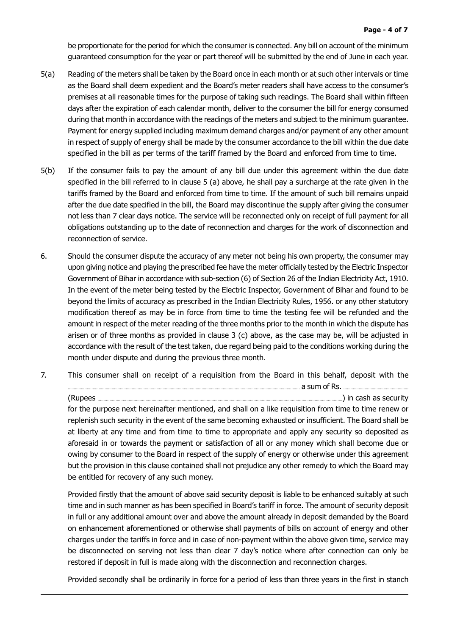be proportionate for the period for which the consumer is connected. Any bill on account of the minimum quaranteed consumption for the year or part thereof will be submitted by the end of June in each year.

- $5(a)$ Reading of the meters shall be taken by the Board once in each month or at such other intervals or time as the Board shall deem expedient and the Board's meter readers shall have access to the consumer's premises at all reasonable times for the purpose of taking such readings. The Board shall within fifteen days after the expiration of each calendar month, deliver to the consumer the bill for energy consumed during that month in accordance with the readings of the meters and subject to the minimum guarantee. Payment for energy supplied including maximum demand charges and/or payment of any other amount in respect of supply of energy shall be made by the consumer accordance to the bill within the due date specified in the bill as per terms of the tariff framed by the Board and enforced from time to time.
- $5(b)$ If the consumer fails to pay the amount of any bill due under this agreement within the due date specified in the bill referred to in clause 5 (a) above, he shall pay a surcharge at the rate given in the tariffs framed by the Board and enforced from time to time. If the amount of such bill remains unpaid after the due date specified in the bill, the Board may discontinue the supply after giving the consumer not less than 7 clear days notice. The service will be reconnected only on receipt of full payment for all obligations outstanding up to the date of reconnection and charges for the work of disconnection and reconnection of service.
- 6. Should the consumer dispute the accuracy of any meter not being his own property, the consumer may upon giving notice and playing the prescribed fee have the meter officially tested by the Electric Inspector Government of Bihar in accordance with sub-section (6) of Section 26 of the Indian Electricity Act, 1910. In the event of the meter being tested by the Electric Inspector, Government of Bihar and found to be beyond the limits of accuracy as prescribed in the Indian Electricity Rules, 1956. or any other statutory modification thereof as may be in force from time to time the testing fee will be refunded and the amount in respect of the meter reading of the three months prior to the month in which the dispute has arisen or of three months as provided in clause 3 (c) above, as the case may be, will be adjusted in accordance with the result of the test taken, due regard being paid to the conditions working during the month under dispute and during the previous three month.
- $\overline{z}$ This consumer shall on receipt of a requisition from the Board in this behalf, deposit with the

(Rupees ...... ......) in cash as security for the purpose next hereinafter mentioned, and shall on a like requisition from time to time renew or replenish such security in the event of the same becoming exhausted or insufficient. The Board shall be at liberty at any time and from time to time to appropriate and apply any security so deposited as aforesaid in or towards the payment or satisfaction of all or any money which shall become due or owing by consumer to the Board in respect of the supply of energy or otherwise under this agreement but the provision in this clause contained shall not prejudice any other remedy to which the Board may be entitled for recovery of any such money.

Provided firstly that the amount of above said security deposit is liable to be enhanced suitably at such time and in such manner as has been specified in Board's tariff in force. The amount of security deposit in full or any additional amount over and above the amount already in deposit demanded by the Board on enhancement aforementioned or otherwise shall payments of bills on account of energy and other charges under the tariffs in force and in case of non-payment within the above given time, service may be disconnected on serving not less than clear 7 day's notice where after connection can only be restored if deposit in full is made along with the disconnection and reconnection charges.

Provided secondly shall be ordinarily in force for a period of less than three years in the first in stanch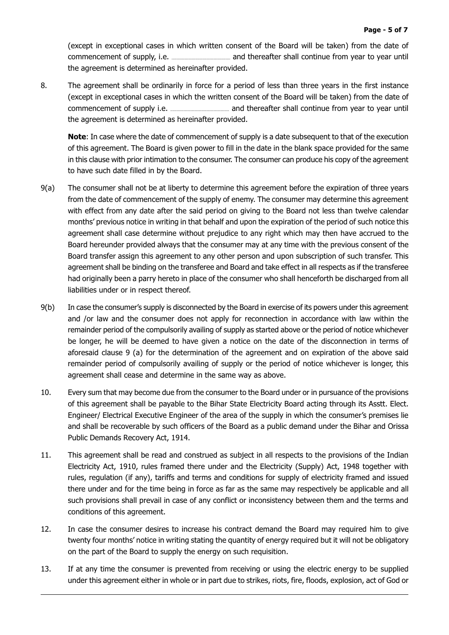(except in exceptional cases in which written consent of the Board will be taken) from the date of the agreement is determined as hereinafter provided.

8. The agreement shall be ordinarily in force for a period of less than three years in the first instance (except in exceptional cases in which the written consent of the Board will be taken) from the date of the agreement is determined as hereinafter provided.

Note: In case where the date of commencement of supply is a date subsequent to that of the execution of this agreement. The Board is given power to fill in the date in the blank space provided for the same in this clause with prior intimation to the consumer. The consumer can produce his copy of the agreement to have such date filled in by the Board.

- $9(a)$ The consumer shall not be at liberty to determine this agreement before the expiration of three years from the date of commencement of the supply of enemy. The consumer may determine this agreement with effect from any date after the said period on giving to the Board not less than twelve calendar months' previous notice in writing in that behalf and upon the expiration of the period of such notice this agreement shall case determine without prejudice to any right which may then have accrued to the Board hereunder provided always that the consumer may at any time with the previous consent of the Board transfer assign this agreement to any other person and upon subscription of such transfer. This agreement shall be binding on the transferee and Board and take effect in all respects as if the transferee had originally been a parry hereto in place of the consumer who shall henceforth be discharged from all liabilities under or in respect thereof.
- $9(b)$ In case the consumer's supply is disconnected by the Board in exercise of its powers under this agreement and /or law and the consumer does not apply for reconnection in accordance with law within the remainder period of the compulsorily availing of supply as started above or the period of notice whichever be longer, he will be deemed to have given a notice on the date of the disconnection in terms of aforesaid clause 9 (a) for the determination of the agreement and on expiration of the above said remainder period of compulsorily availing of supply or the period of notice whichever is longer, this agreement shall cease and determine in the same way as above.
- $10.$ Every sum that may become due from the consumer to the Board under or in pursuance of the provisions of this agreement shall be payable to the Bihar State Electricity Board acting through its Asstt. Elect. Engineer/ Electrical Executive Engineer of the area of the supply in which the consumer's premises lie and shall be recoverable by such officers of the Board as a public demand under the Bihar and Orissa Public Demands Recovery Act, 1914.
- $11.$ This agreement shall be read and construed as subject in all respects to the provisions of the Indian Electricity Act, 1910, rules framed there under and the Electricity (Supply) Act, 1948 together with rules, regulation (if any), tariffs and terms and conditions for supply of electricity framed and issued there under and for the time being in force as far as the same may respectively be applicable and all such provisions shall prevail in case of any conflict or inconsistency between them and the terms and conditions of this agreement.
- $12.$ In case the consumer desires to increase his contract demand the Board may required him to give twenty four months' notice in writing stating the quantity of energy required but it will not be obligatory on the part of the Board to supply the energy on such requisition.
- 13. If at any time the consumer is prevented from receiving or using the electric energy to be supplied under this agreement either in whole or in part due to strikes, riots, fire, floods, explosion, act of God or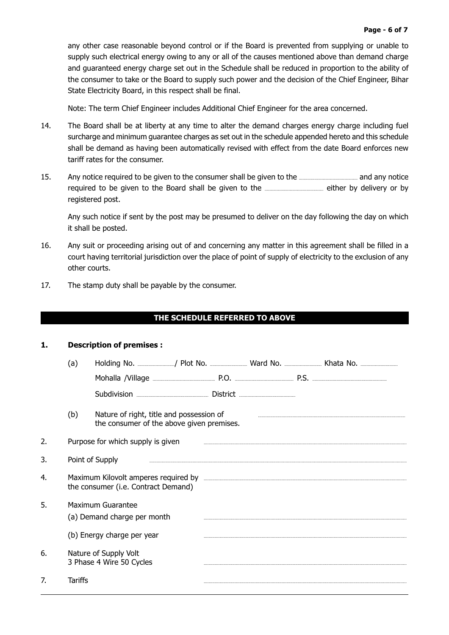any other case reasonable beyond control or if the Board is prevented from supplying or unable to supply such electrical energy owing to any or all of the causes mentioned above than demand charge and quaranteed energy charge set out in the Schedule shall be reduced in proportion to the ability of the consumer to take or the Board to supply such power and the decision of the Chief Engineer, Bihar State Electricity Board, in this respect shall be final.

Note: The term Chief Engineer includes Additional Chief Engineer for the area concerned.

- 14. The Board shall be at liberty at any time to alter the demand charges energy charge including fuel surcharge and minimum guarantee charges as set out in the schedule appended hereto and this schedule shall be demand as having been automatically revised with effect from the date Board enforces new tariff rates for the consumer.
- 15. Any notice required to be given to the consumer shall be given to the **multiple and shall and any notice** registered post.

Any such notice if sent by the post may be presumed to deliver on the day following the day on which it shall be posted.

- 16. Any suit or proceeding arising out of and concerning any matter in this agreement shall be filled in a court having territorial jurisdiction over the place of point of supply of electricity to the exclusion of any other courts.
- $17.$ The stamp duty shall be payable by the consumer.

## THE SCHEDULE REFERRED TO ABOVE

## $\mathbf{1}$ . **Description of premises:**

|    | (a)             |                                                                                       |  |  |  |
|----|-----------------|---------------------------------------------------------------------------------------|--|--|--|
|    |                 |                                                                                       |  |  |  |
|    |                 |                                                                                       |  |  |  |
|    | (b)             | Nature of right, title and possession of<br>the consumer of the above given premises. |  |  |  |
| 2. |                 | Purpose for which supply is given                                                     |  |  |  |
| 3. | Point of Supply |                                                                                       |  |  |  |
| 4. |                 | the consumer (i.e. Contract Demand)                                                   |  |  |  |
| 5. |                 | <b>Maximum Guarantee</b><br>(a) Demand charge per month                               |  |  |  |
|    |                 | (b) Energy charge per year                                                            |  |  |  |
| 6. |                 | Nature of Supply Volt<br>3 Phase 4 Wire 50 Cycles                                     |  |  |  |
| 7. | Tariffs         |                                                                                       |  |  |  |